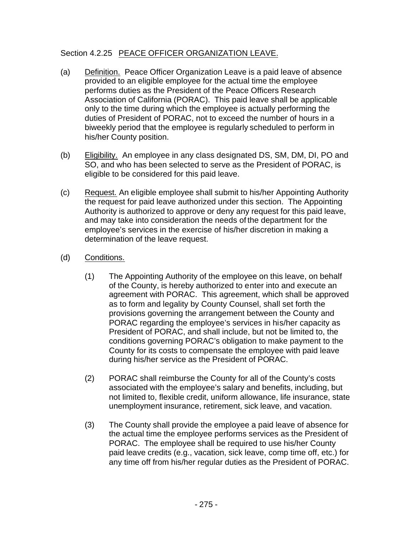## Section 4.2.25 PEACE OFFICER ORGANIZATION LEAVE.

- (a) Definition. Peace Officer Organization Leave is a paid leave of absence provided to an eligible employee for the actual time the employee performs duties as the President of the Peace Officers Research Association of California (PORAC). This paid leave shall be applicable only to the time during which the employee is actually performing the duties of President of PORAC, not to exceed the number of hours in a biweekly period that the employee is regularly scheduled to perform in his/her County position.
- (b) Eligibility. An employee in any class designated DS, SM, DM, DI, PO and SO, and who has been selected to serve as the President of PORAC, is eligible to be considered for this paid leave.
- (c) Request. An eligible employee shall submit to his/her Appointing Authority the request for paid leave authorized under this section. The Appointing Authority is authorized to approve or deny any request for this paid leave, and may take into consideration the needs of the department for the employee's services in the exercise of his/her discretion in making a determination of the leave request.
- (d) Conditions.
	- (1) The Appointing Authority of the employee on this leave, on behalf of the County, is hereby authorized to enter into and execute an agreement with PORAC. This agreement, which shall be approved as to form and legality by County Counsel, shall set forth the provisions governing the arrangement between the County and PORAC regarding the employee's services in his/her capacity as President of PORAC, and shall include, but not be limited to, the conditions governing PORAC's obligation to make payment to the County for its costs to compensate the employee with paid leave during his/her service as the President of PORAC.
	- (2) PORAC shall reimburse the County for all of the County's costs associated with the employee's salary and benefits, including, but not limited to, flexible credit, uniform allowance, life insurance, state unemployment insurance, retirement, sick leave, and vacation.
	- (3) The County shall provide the employee a paid leave of absence for the actual time the employee performs services as the President of PORAC. The employee shall be required to use his/her County paid leave credits (e.g., vacation, sick leave, comp time off, etc.) for any time off from his/her regular duties as the President of PORAC.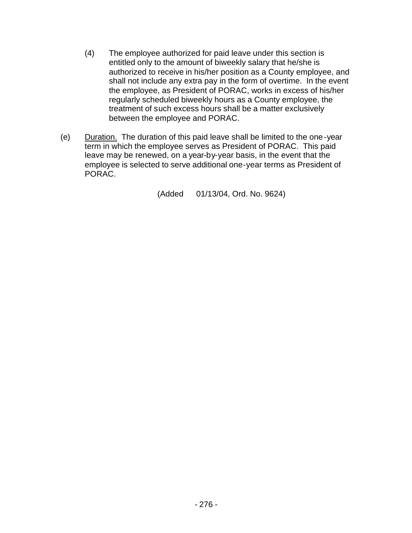- (4) The employee authorized for paid leave under this section is entitled only to the amount of biweekly salary that he/she is authorized to receive in his/her position as a County employee, and shall not include any extra pay in the form of overtime. In the event the employee, as President of PORAC, works in excess of his/her regularly scheduled biweekly hours as a County employee, the treatment of such excess hours shall be a matter exclusively between the employee and PORAC.
- (e) Duration. The duration of this paid leave shall be limited to the one-year term in which the employee serves as President of PORAC. This paid leave may be renewed, on a year-by-year basis, in the event that the employee is selected to serve additional one-year terms as President of PORAC.

(Added 01/13/04, Ord. No. 9624)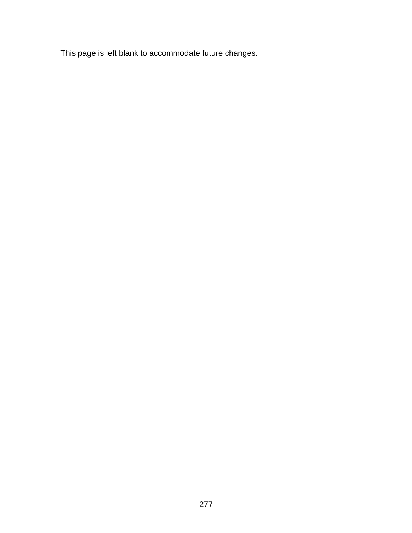This page is left blank to accommodate future changes.